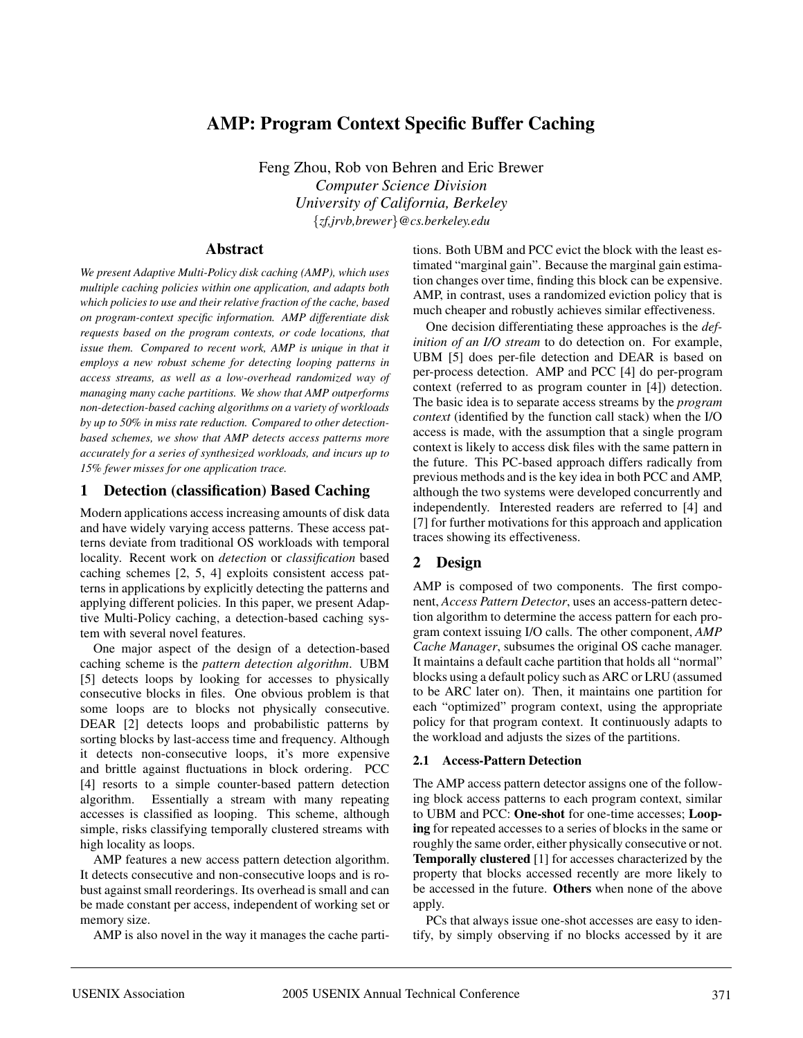# **AMP: Program Context Specific Buffer Caching**

Feng Zhou, Rob von Behren and Eric Brewer *Computer Science Division University of California, Berkeley* {*zf,jrvb,brewer*}*@cs.berkeley.edu*

## **Abstract**

*We present Adaptive Multi-Policy disk caching (AMP), which uses multiple caching policies within one application, and adapts both which policies to use and their relative fraction of the cache, based on program-context specific information. AMP differentiate disk requests based on the program contexts, or code locations, that issue them. Compared to recent work, AMP is unique in that it employs a new robust scheme for detecting looping patterns in access streams, as well as a low-overhead randomized way of managing many cache partitions. We show that AMP outperforms non-detection-based caching algorithms on a variety of workloads by up to 50% in miss rate reduction. Compared to other detectionbased schemes, we show that AMP detects access patterns more accurately for a series of synthesized workloads, and incurs up to 15% fewer misses for one application trace.*

## **1 Detection (classification) Based Caching**

Modern applications access increasing amounts of disk data and have widely varying access patterns. These access patterns deviate from traditional OS workloads with temporal locality. Recent work on *detection* or *classification* based caching schemes [2, 5, 4] exploits consistent access patterns in applications by explicitly detecting the patterns and applying different policies. In this paper, we present Adaptive Multi-Policy caching, a detection-based caching system with several novel features.

One major aspect of the design of a detection-based caching scheme is the *pattern detection algorithm*. UBM [5] detects loops by looking for accesses to physically consecutive blocks in files. One obvious problem is that some loops are to blocks not physically consecutive. DEAR [2] detects loops and probabilistic patterns by sorting blocks by last-access time and frequency. Although it detects non-consecutive loops, it's more expensive and brittle against fluctuations in block ordering. PCC [4] resorts to a simple counter-based pattern detection algorithm. Essentially a stream with many repeating accesses is classified as looping. This scheme, although simple, risks classifying temporally clustered streams with high locality as loops.

AMP features a new access pattern detection algorithm. It detects consecutive and non-consecutive loops and is robust against small reorderings. Its overhead is small and can be made constant per access, independent of working set or memory size.

AMP is also novel in the way it manages the cache parti-

tions. Both UBM and PCC evict the block with the least estimated "marginal gain". Because the marginal gain estimation changes over time, finding this block can be expensive. AMP, in contrast, uses a randomized eviction policy that is much cheaper and robustly achieves similar effectiveness.

One decision differentiating these approaches is the *definition of an I/O stream* to do detection on. For example, UBM [5] does per-file detection and DEAR is based on per-process detection. AMP and PCC [4] do per-program context (referred to as program counter in [4]) detection. The basic idea is to separate access streams by the *program context* (identified by the function call stack) when the I/O access is made, with the assumption that a single program context is likely to access disk files with the same pattern in the future. This PC-based approach differs radically from previous methods and is the key idea in both PCC and AMP, although the two systems were developed concurrently and independently. Interested readers are referred to [4] and [7] for further motivations for this approach and application traces showing its effectiveness.

# **2 Design**

AMP is composed of two components. The first component, *Access Pattern Detector*, uses an access-pattern detection algorithm to determine the access pattern for each program context issuing I/O calls. The other component, *AMP Cache Manager*, subsumes the original OS cache manager. It maintains a default cache partition that holds all "normal" blocks using a default policy such as ARC or LRU (assumed to be ARC later on). Then, it maintains one partition for each "optimized" program context, using the appropriate policy for that program context. It continuously adapts to the workload and adjusts the sizes of the partitions.

## **2.1 Access-Pattern Detection**

The AMP access pattern detector assigns one of the following block access patterns to each program context, similar to UBM and PCC: **One-shot** for one-time accesses; **Looping** for repeated accesses to a series of blocks in the same or roughly the same order, either physically consecutive or not. **Temporally clustered** [1] for accesses characterized by the property that blocks accessed recently are more likely to be accessed in the future. **Others** when none of the above apply.

PCs that always issue one-shot accesses are easy to identify, by simply observing if no blocks accessed by it are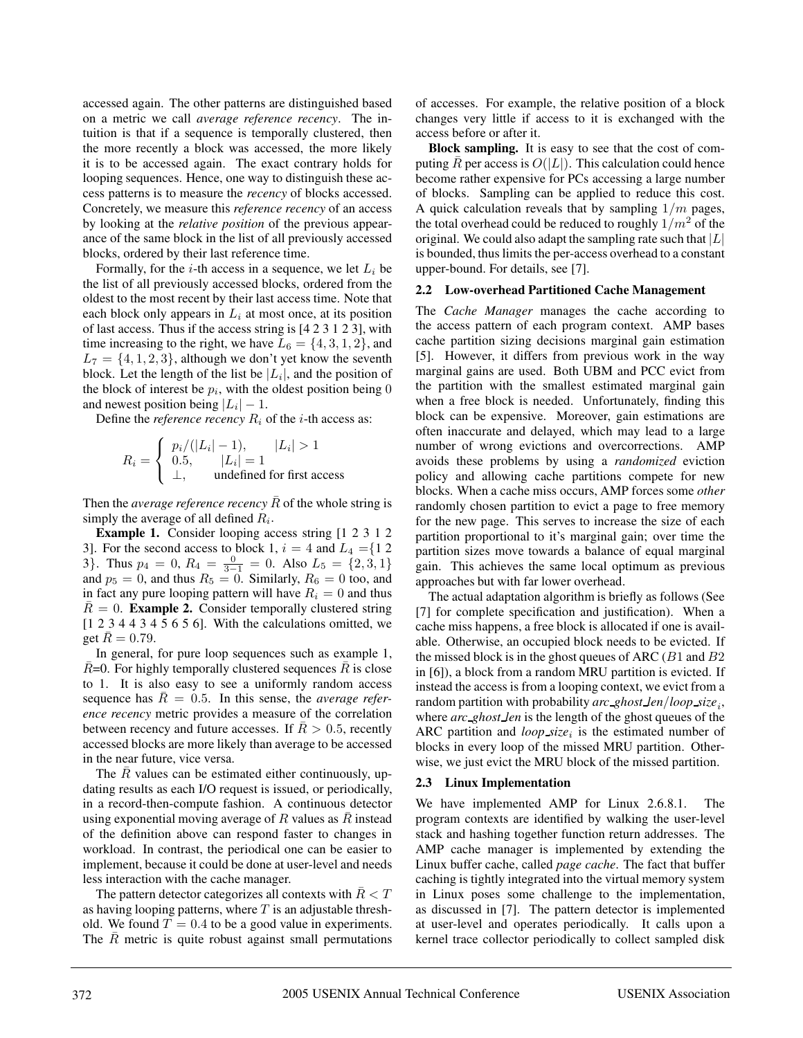accessed again. The other patterns are distinguished based on a metric we call *average reference recency*. The intuition is that if a sequence is temporally clustered, then the more recently a block was accessed, the more likely it is to be accessed again. The exact contrary holds for looping sequences. Hence, one way to distinguish these access patterns is to measure the *recency* of blocks accessed. Concretely, we measure this *reference recency* of an access by looking at the *relative position* of the previous appearance of the same block in the list of all previously accessed blocks, ordered by their last reference time.

Formally, for the *i*-th access in a sequence, we let  $L_i$  be the list of all previously accessed blocks, ordered from the oldest to the most recent by their last access time. Note that each block only appears in  $L_i$  at most once, at its position of last access. Thus if the access string is [4 2 3 1 2 3], with time increasing to the right, we have  $L_6 = \{4, 3, 1, 2\}$ , and  $L_7 = \{4, 1, 2, 3\}$ , although we don't yet know the seventh block. Let the length of the list be  $|L_i|$ , and the position of the block of interest be  $p_i$ , with the oldest position being 0 and newest position being  $|L_i| - 1$ .

Define the *reference recency*  $R_i$  of the *i*-th access as:

$$
R_i = \begin{cases} p_i/(|L_i| - 1), & |L_i| > 1\\ 0.5, & |L_i| = 1\\ \bot, & \text{undefined for first access} \end{cases}
$$

Then the *average reference recency*  $\bar{R}$  of the whole string is simply the average of all defined  $R_i$ .

**Example 1.** Consider looping access string [1 2 3 1 2 3]. For the second access to block 1,  $i = 4$  and  $L_4 = \{1 \ 2 \}$ 3}. Thus  $p_4 = 0$ ,  $R_4 = \frac{0}{3-1} = 0$ . Also  $L_5 = \{2, 3, 1\}$ and  $p_5 = 0$ , and thus  $R_5 = 0$ . Similarly,  $R_6 = 0$  too, and in fact any pure looping pattern will have  $R_i = 0$  and thus  $R = 0$ . **Example 2.** Consider temporally clustered string [1 2 3 4 4 3 4 5 6 5 6]. With the calculations omitted, we get  $R = 0.79$ .

In general, for pure loop sequences such as example 1,  $\bar{R}$ =0. For highly temporally clustered sequences  $\bar{R}$  is close to 1. It is also easy to see a uniformly random access sequence has  $\bar{R} = 0.5$ . In this sense, the *average reference recency* metric provides a measure of the correlation between recency and future accesses. If  $\overline{R} > 0.5$ , recently accessed blocks are more likely than average to be accessed in the near future, vice versa.

The  $R$  values can be estimated either continuously, updating results as each I/O request is issued, or periodically, in a record-then-compute fashion. A continuous detector using exponential moving average of  $R$  values as  $R$  instead of the definition above can respond faster to changes in workload. In contrast, the periodical one can be easier to implement, because it could be done at user-level and needs less interaction with the cache manager.

The pattern detector categorizes all contexts with  $R < T$ as having looping patterns, where  $T$  is an adjustable threshold. We found  $T = 0.4$  to be a good value in experiments. The  $\bar{R}$  metric is quite robust against small permutations

of accesses. For example, the relative position of a block changes very little if access to it is exchanged with the access before or after it.

**Block sampling.** It is easy to see that the cost of computing  $\overline{R}$  per access is  $O(|L|)$ . This calculation could hence become rather expensive for PCs accessing a large number of blocks. Sampling can be applied to reduce this cost. A quick calculation reveals that by sampling  $1/m$  pages, the total overhead could be reduced to roughly  $1/m^2$  of the original. We could also adapt the sampling rate such that  $|L|$ is bounded, thus limits the per-access overhead to a constant upper-bound. For details, see [7].

#### **2.2 Low-overhead Partitioned Cache Management**

The *Cache Manager* manages the cache according to the access pattern of each program context. AMP bases cache partition sizing decisions marginal gain estimation [5]. However, it differs from previous work in the way marginal gains are used. Both UBM and PCC evict from the partition with the smallest estimated marginal gain when a free block is needed. Unfortunately, finding this block can be expensive. Moreover, gain estimations are often inaccurate and delayed, which may lead to a large number of wrong evictions and overcorrections. AMP avoids these problems by using a *randomized* eviction policy and allowing cache partitions compete for new blocks. When a cache miss occurs, AMP forces some *other* randomly chosen partition to evict a page to free memory for the new page. This serves to increase the size of each partition proportional to it's marginal gain; over time the partition sizes move towards a balance of equal marginal gain. This achieves the same local optimum as previous approaches but with far lower overhead.

The actual adaptation algorithm is briefly as follows (See [7] for complete specification and justification). When a cache miss happens, a free block is allocated if one is available. Otherwise, an occupied block needs to be evicted. If the missed block is in the ghost queues of ARC ( $B1$  and  $B2$ ) in [6]), a block from a random MRU partition is evicted. If instead the access is from a looping context, we evict from a random partition with probability *arc ghost len*/*loop size*i, where *arc ghost len* is the length of the ghost queues of the ARC partition and *loop\_size*<sub>i</sub> is the estimated number of blocks in every loop of the missed MRU partition. Otherwise, we just evict the MRU block of the missed partition.

### **2.3 Linux Implementation**

We have implemented AMP for Linux 2.6.8.1. The program contexts are identified by walking the user-level stack and hashing together function return addresses. The AMP cache manager is implemented by extending the Linux buffer cache, called *page cache*. The fact that buffer caching is tightly integrated into the virtual memory system in Linux poses some challenge to the implementation, as discussed in [7]. The pattern detector is implemented at user-level and operates periodically. It calls upon a kernel trace collector periodically to collect sampled disk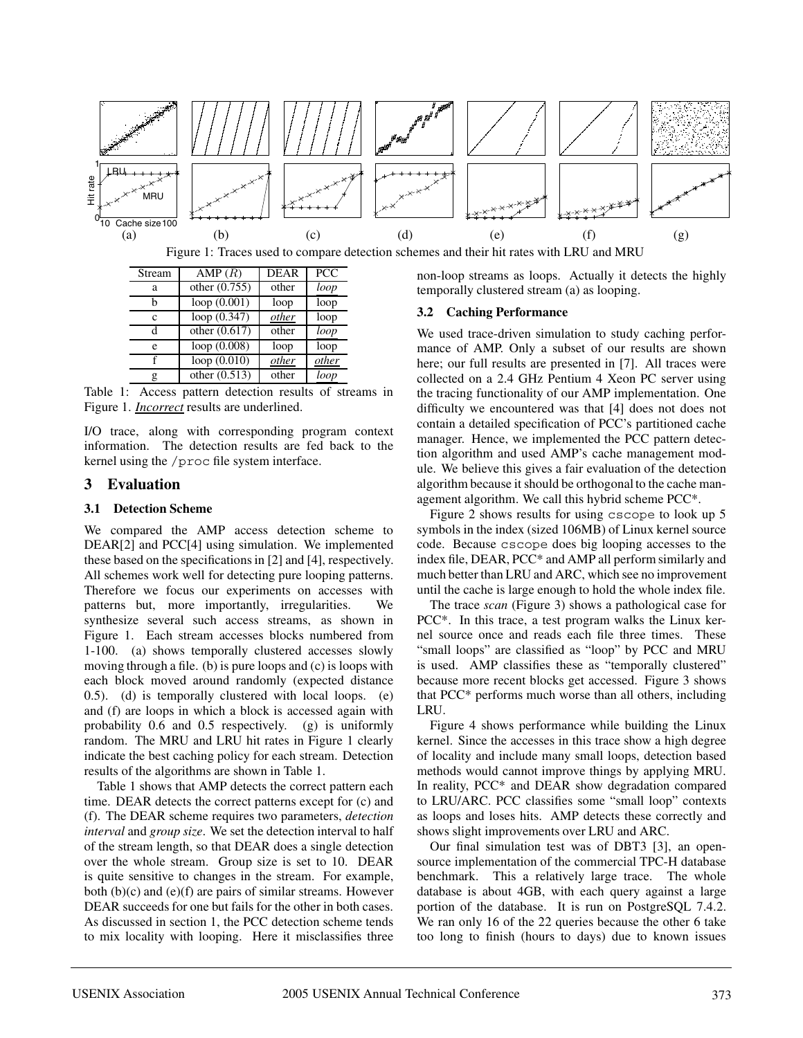

| Stream | AMP(R)          | <b>DEAR</b> | <b>PCC</b> |
|--------|-----------------|-------------|------------|
| a      | other $(0.755)$ | other       | loop       |
| h      | loop(0.001)     | loop        | loop       |
| C      | loop (0.347)    | other       | loop       |
| d      | other $(0.617)$ | other       | loop       |
| e      | loop $(0.008)$  | loop        | loop       |
|        | loop(0.010)     | other       | other      |
| g      | other $(0.513)$ | other       | loop       |

Table 1: Access pattern detection results of streams in Figure 1. *Incorrect* results are underlined.

I/O trace, along with corresponding program context information. The detection results are fed back to the kernel using the /proc file system interface.

## **3 Evaluation**

## **3.1 Detection Scheme**

We compared the AMP access detection scheme to DEAR[2] and PCC[4] using simulation. We implemented these based on the specifications in [2] and [4], respectively. All schemes work well for detecting pure looping patterns. Therefore we focus our experiments on accesses with patterns but, more importantly, irregularities. We synthesize several such access streams, as shown in Figure 1. Each stream accesses blocks numbered from 1-100. (a) shows temporally clustered accesses slowly moving through a file. (b) is pure loops and (c) is loops with each block moved around randomly (expected distance 0.5). (d) is temporally clustered with local loops. (e) and (f) are loops in which a block is accessed again with probability 0.6 and 0.5 respectively. (g) is uniformly random. The MRU and LRU hit rates in Figure 1 clearly indicate the best caching policy for each stream. Detection results of the algorithms are shown in Table 1.

Table 1 shows that AMP detects the correct pattern each time. DEAR detects the correct patterns except for (c) and (f). The DEAR scheme requires two parameters, *detection interval* and *group size*. We set the detection interval to half of the stream length, so that DEAR does a single detection over the whole stream. Group size is set to 10. DEAR is quite sensitive to changes in the stream. For example, both (b)(c) and (e)(f) are pairs of similar streams. However DEAR succeeds for one but fails for the other in both cases. As discussed in section 1, the PCC detection scheme tends to mix locality with looping. Here it misclassifies three

non-loop streams as loops. Actually it detects the highly temporally clustered stream (a) as looping.

### **3.2 Caching Performance**

We used trace-driven simulation to study caching performance of AMP. Only a subset of our results are shown here; our full results are presented in [7]. All traces were collected on a 2.4 GHz Pentium 4 Xeon PC server using the tracing functionality of our AMP implementation. One difficulty we encountered was that [4] does not does not contain a detailed specification of PCC's partitioned cache manager. Hence, we implemented the PCC pattern detection algorithm and used AMP's cache management module. We believe this gives a fair evaluation of the detection algorithm because it should be orthogonal to the cache management algorithm. We call this hybrid scheme PCC\*.

Figure 2 shows results for using cscope to look up 5 symbols in the index (sized 106MB) of Linux kernel source code. Because cscope does big looping accesses to the index file, DEAR, PCC\* and AMP all perform similarly and much better than LRU and ARC, which see no improvement until the cache is large enough to hold the whole index file.

The trace *scan* (Figure 3) shows a pathological case for PCC\*. In this trace, a test program walks the Linux kernel source once and reads each file three times. These "small loops" are classified as "loop" by PCC and MRU is used. AMP classifies these as "temporally clustered" because more recent blocks get accessed. Figure 3 shows that PCC\* performs much worse than all others, including LRU.

Figure 4 shows performance while building the Linux kernel. Since the accesses in this trace show a high degree of locality and include many small loops, detection based methods would cannot improve things by applying MRU. In reality, PCC\* and DEAR show degradation compared to LRU/ARC. PCC classifies some "small loop" contexts as loops and loses hits. AMP detects these correctly and shows slight improvements over LRU and ARC.

Our final simulation test was of DBT3 [3], an opensource implementation of the commercial TPC-H database benchmark. This a relatively large trace. The whole database is about 4GB, with each query against a large portion of the database. It is run on PostgreSQL 7.4.2. We ran only 16 of the 22 queries because the other 6 take too long to finish (hours to days) due to known issues